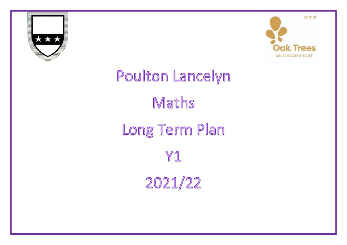



## Poulton Lancelyn Maths Long Term Plan Y1 2021/22